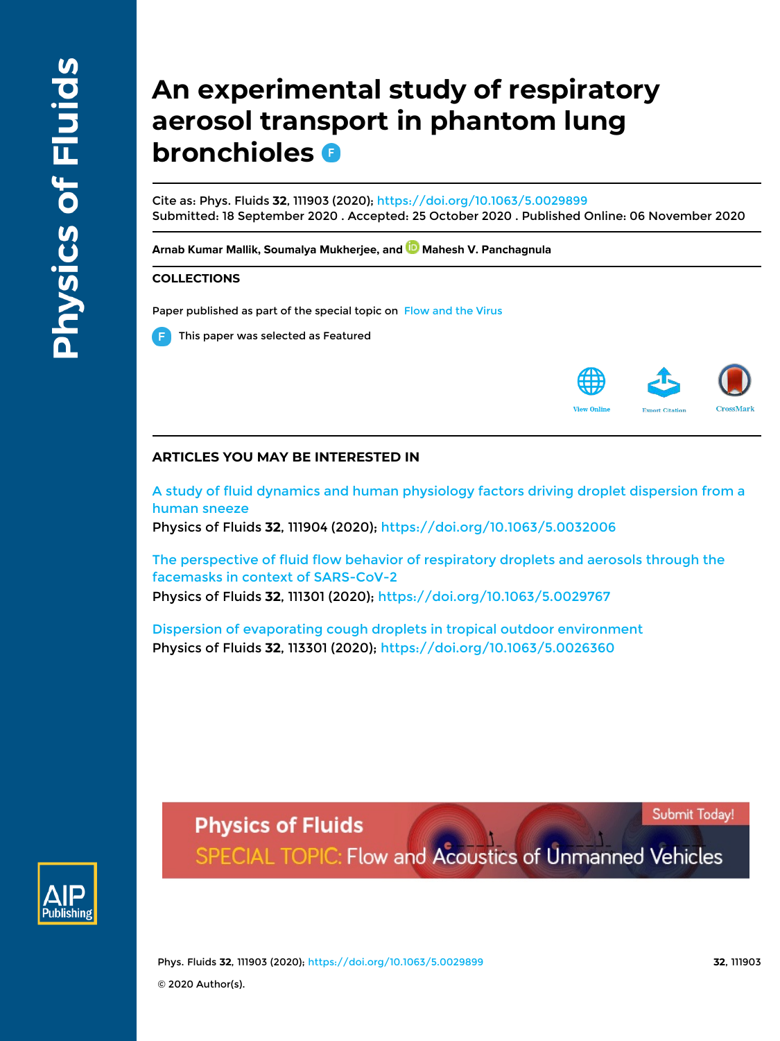# **An experimental study of respiratory aerosol transport in phantom lung bronchioles**

Cite as: Phys. Fluids **32**, 111903 (2020); https://doi.org/10.1063/5.0029899 Submitted: 18 September 2020 . Accepted: 25 October 2020 . Published Online: 06 November 2020

Arnab Kumar Mallik, Soumalya Mukherjee, and **D** Mahesh V. Panchagnula

### **COLLECTIONS**

Paper published as part of the special topic on Flow and the Virus





# **ARTICLES YOU MAY BE INTERESTED IN**

A study of fluid dynamics and human physiology factors driving droplet dispersion from a human sneeze

Physics of Fluids **32**, 111904 (2020); https://doi.org/10.1063/5.0032006

The perspective of fluid flow behavior of respiratory droplets and aerosols through the facemasks in context of SARS-CoV-2 Physics of Fluids **32**, 111301 (2020); https://doi.org/10.1063/5.0029767

Dispersion of evaporating cough droplets in tropical outdoor environment Physics of Fluids **32**, 113301 (2020); https://doi.org/10.1063/5.0026360



Submit Today!

SPECIAL TOPIC: Flow and Acoustics of Unmanned Vehicles

Phys. Fluids **32**, 111903 (2020); https://doi.org/10.1063/5.0029899 **32**, 111903 © 2020 Author(s).

**Physics of Fluids**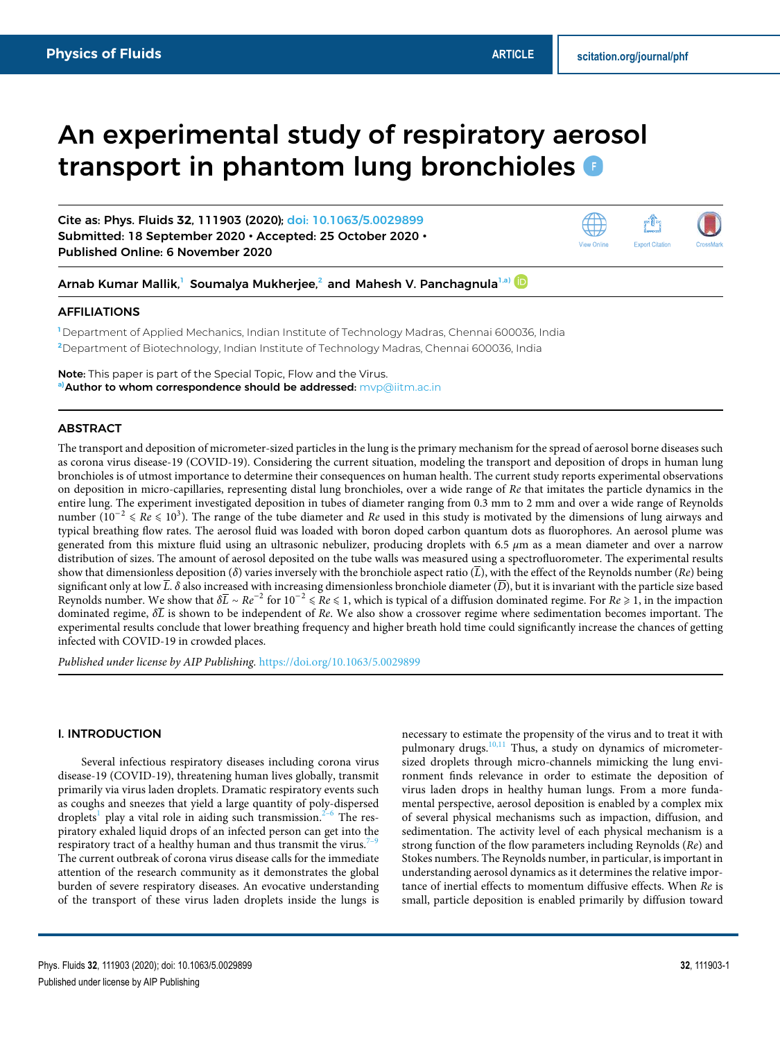# An experimental study of respiratory aerosol transport in phantom lung bronchioles **O**

Cite as: Phys. Fluids **32**, 111903 (2020); doi: 10.1063/5.0029899 Submitted: 18 September 2020 • Accepted: 25 October 2020 • Published Online: 6 November 2020





Arnab Kumar Mallik, Soumalya Mukherjee,<sup>2</sup> and Mahesh V. Panchagnula<sup>1,a)</sup>

#### AFFILIATIONS

**<sup>1</sup>** Department of Applied Mechanics, Indian Institute of Technology Madras, Chennai 600036, India **<sup>2</sup>**Department of Biotechnology, Indian Institute of Technology Madras, Chennai 600036, India

Note: This paper is part of the Special Topic, Flow and the Virus. **a)**Author to whom correspondence should be addressed: mvp@iitm.ac.in

### ABSTRACT

The transport and deposition of micrometer-sized particles in the lung is the primary mechanism for the spread of aerosol borne diseases such as corona virus disease-19 (COVID-19). Considering the current situation, modeling the transport and deposition of drops in human lung bronchioles is of utmost importance to determine their consequences on human health. The current study reports experimental observations on deposition in micro-capillaries, representing distal lung bronchioles, over a wide range of Re that imitates the particle dynamics in the entire lung. The experiment investigated deposition in tubes of diameter ranging from 0.3 mm to 2 mm and over a wide range of Reynolds number ( $10^{-2} \leq Re \leq 10^{3}$ ). The range of the tube diameter and Re used in this study is motivated by the dimensions of lung airways and typical breathing flow rates. The aerosol fluid was loaded with boron doped carbon quantum dots as fluorophores. An aerosol plume was generated from this mixture fluid using an ultrasonic nebulizer, producing droplets with 6.5 *μ*m as a mean diameter and over a narrow distribution of sizes. The amount of aerosol deposited on the tube walls was measured using a spectrofluorometer. The experimental results show that dimensionless deposition ( $\delta$ ) varies inversely with the bronchiole aspect ratio ( $\overline{L}$ ), with the effect of the Reynolds number ( $Re$ ) being significant only at low  $\overline{L}$ .  $\delta$  also increased with increasing dimensionless bronchiole diameter ( $\overline{D}$ ), but it is invariant with the particle size based Reynolds number. We show that  $\delta\overline{L} \sim Re^{-2}$  for  $10^{-2} \leq R$ e ≤ 1, which is typical of a diffusion dominated regime. For  $Re \geq 1$ , in the impaction dominated regime, *δ*L is shown to be independent of Re. We also show a crossover regime where sedimentation becomes important. The experimental results conclude that lower breathing frequency and higher breath hold time could significantly increase the chances of getting infected with COVID-19 in crowded places.

Published under license by AIP Publishing. https://doi.org/10.1063/5.0029899.

#### I. INTRODUCTION

Several infectious respiratory diseases including corona virus disease-19 (COVID-19), threatening human lives globally, transmit primarily via virus laden droplets. Dramatic respiratory events such as coughs and sneezes that yield a large quantity of poly-dispersed droplets<sup>1</sup> play a vital role in aiding such transmission.<sup>2-6</sup> The respiratory exhaled liquid drops of an infected person can get into the respiratory tract of a healthy human and thus transmit the virus.<sup>7</sup> The current outbreak of corona virus disease calls for the immediate attention of the research community as it demonstrates the global burden of severe respiratory diseases. An evocative understanding of the transport of these virus laden droplets inside the lungs is

necessary to estimate the propensity of the virus and to treat it with pulmonary drugs.<sup>10,11</sup> Thus, a study on dynamics of micrometersized droplets through micro-channels mimicking the lung environment finds relevance in order to estimate the deposition of virus laden drops in healthy human lungs. From a more fundamental perspective, aerosol deposition is enabled by a complex mix of several physical mechanisms such as impaction, diffusion, and sedimentation. The activity level of each physical mechanism is a strong function of the flow parameters including Reynolds (Re) and Stokes numbers. The Reynolds number, in particular, is important in understanding aerosol dynamics as it determines the relative importance of inertial effects to momentum diffusive effects. When Re is small, particle deposition is enabled primarily by diffusion toward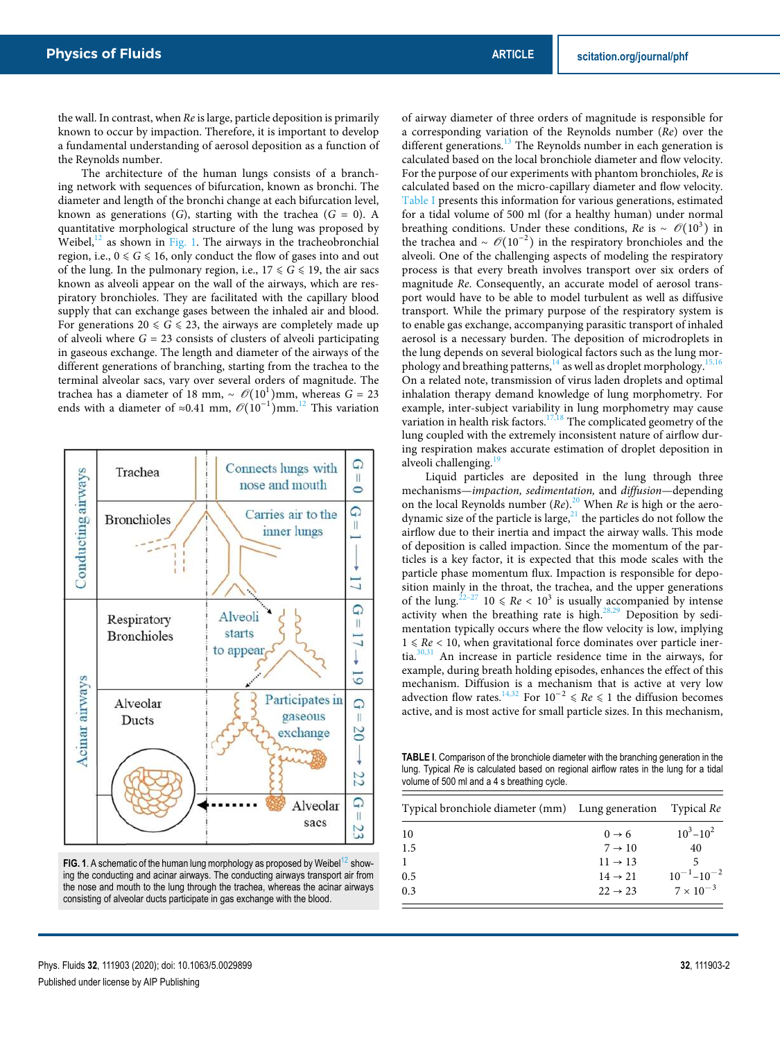the wall. In contrast, when Re is large, particle deposition is primarily known to occur by impaction. Therefore, it is important to develop a fundamental understanding of aerosol deposition as a function of the Reynolds number.

The architecture of the human lungs consists of a branching network with sequences of bifurcation, known as bronchi. The diameter and length of the bronchi change at each bifurcation level, known as generations (G), starting with the trachea ( $G = 0$ ). A quantitative morphological structure of the lung was proposed by Weibel, $^{12}$  as shown in Fig. 1. The airways in the tracheobronchial region, i.e.,  $0 \le G \le 16$ , only conduct the flow of gases into and out of the lung. In the pulmonary region, i.e.,  $17 \le G \le 19$ , the air sacs known as alveoli appear on the wall of the airways, which are respiratory bronchioles. They are facilitated with the capillary blood supply that can exchange gases between the inhaled air and blood. For generations 20  $\le G \le 23$ , the airways are completely made up of alveoli where  $G = 23$  consists of clusters of alveoli participating in gaseous exchange. The length and diameter of the airways of the different generations of branching, starting from the trachea to the terminal alveolar sacs, vary over several orders of magnitude. The trachea has a diameter of 18 mm, ~  $\mathcal{O}(10^1)$ mm, whereas *G* = 23 ends with a diameter of ≈0.41 mm,  $\mathcal{O}(10^{-1})$ mm.<sup>12</sup> This variation



**FIG. 1.** A schematic of the human lung morphology as proposed by Weibel<sup>12</sup> showing the conducting and acinar airways. The conducting airways transport air from the nose and mouth to the lung through the trachea, whereas the acinar airways consisting of alveolar ducts participate in gas exchange with the blood.

of airway diameter of three orders of magnitude is responsible for a corresponding variation of the Reynolds number (Re) over the different generations.<sup>13</sup> The Reynolds number in each generation is calculated based on the local bronchiole diameter and flow velocity. For the purpose of our experiments with phantom bronchioles, Re is calculated based on the micro-capillary diameter and flow velocity. Table I presents this information for various generations, estimated for a tidal volume of 500 ml (for a healthy human) under normal breathing conditions. Under these conditions,  $Re$  is ~  $\mathcal{O}(10^3)$  in the trachea and ~  $\mathcal{O}(10^{-2})$  in the respiratory bronchioles and the alveoli. One of the challenging aspects of modeling the respiratory process is that every breath involves transport over six orders of magnitude Re. Consequently, an accurate model of aerosol transport would have to be able to model turbulent as well as diffusive transport. While the primary purpose of the respiratory system is to enable gas exchange, accompanying parasitic transport of inhaled aerosol is a necessary burden. The deposition of microdroplets in the lung depends on several biological factors such as the lung morphology and breathing patterns, $14$  as well as droplet morphology.<sup>15,16</sup> On a related note, transmission of virus laden droplets and optimal inhalation therapy demand knowledge of lung morphometry. For example, inter-subject variability in lung morphometry may cause variation in health risk factors.<sup>17,18</sup> The complicated geometry of the lung coupled with the extremely inconsistent nature of airflow during respiration makes accurate estimation of droplet deposition in alveoli challenging.

Liquid particles are deposited in the lung through three mechanisms—impaction, sedimentation, and diffusion—depending on the local Reynolds number  $(Re)$ .<sup>20</sup> When Re is high or the aerodynamic size of the particle is large, $^{21}$  the particles do not follow the airflow due to their inertia and impact the airway walls. This mode of deposition is called impaction. Since the momentum of the particles is a key factor, it is expected that this mode scales with the particle phase momentum flux. Impaction is responsible for deposition mainly in the throat, the trachea, and the upper generations of the lung.<sup>22-27</sup> 10  $\leq$  Re  $<$  10<sup>3</sup> is usually accompanied by intense activity when the breathing rate is high.<sup>28,29</sup> Deposition by sedimentation typically occurs where the flow velocity is low, implying  $1 \leq Re < 10$ , when gravitational force dominates over particle inertia.30,31 An increase in particle residence time in the airways, for example, during breath holding episodes, enhances the effect of this mechanism. Diffusion is a mechanism that is active at very low advection flow rates.<sup>14,32</sup> For  $10^{-2} \le Re \le 1$  the diffusion becomes active, and is most active for small particle sizes. In this mechanism,

**TABLE I**. Comparison of the bronchiole diameter with the branching generation in the lung. Typical *Re* is calculated based on regional airflow rates in the lung for a tidal volume of 500 ml and a 4 s breathing cycle.

| Typical bronchiole diameter (mm) Lung generation |                     | Typical Re            |
|--------------------------------------------------|---------------------|-----------------------|
| 10                                               | $0 \rightarrow 6$   | $10^3 - 10^2$         |
| 1.5                                              | $7 \rightarrow 10$  | 40                    |
|                                                  | $11 \rightarrow 13$ | 5                     |
| 0.5                                              | $14 \rightarrow 21$ | $10^{-1}$ – $10^{-2}$ |
| 0.3                                              | $22 \rightarrow 23$ | $7 \times 10^{-3}$    |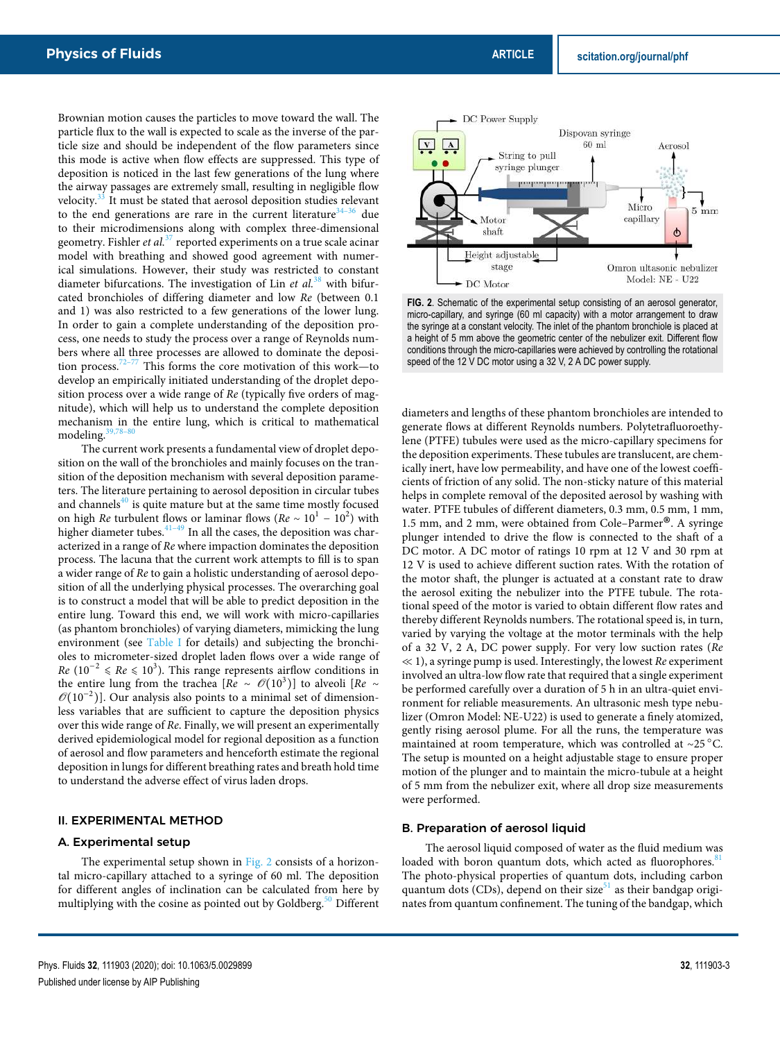Brownian motion causes the particles to move toward the wall. The particle flux to the wall is expected to scale as the inverse of the particle size and should be independent of the flow parameters since this mode is active when flow effects are suppressed. This type of deposition is noticed in the last few generations of the lung where the airway passages are extremely small, resulting in negligible flow velocity.<sup>33</sup> It must be stated that aerosol deposition studies relevant to the end generations are rare in the current literature $34-36$  due to their microdimensions along with complex three-dimensional geometry. Fishler et al. $37$  reported experiments on a true scale acinar model with breathing and showed good agreement with numerical simulations. However, their study was restricted to constant diameter bifurcations. The investigation of Lin *et al.*<sup>38</sup> with bifurcated bronchioles of differing diameter and low Re (between 0.1 and 1) was also restricted to a few generations of the lower lung. In order to gain a complete understanding of the deposition process, one needs to study the process over a range of Reynolds numbers where all three processes are allowed to dominate the deposition process.72–77 This forms the core motivation of this work—to develop an empirically initiated understanding of the droplet deposition process over a wide range of  $Re$  (typically five orders of magnitude), which will help us to understand the complete deposition mechanism in the entire lung, which is critical to mathematical modeling.

The current work presents a fundamental view of droplet deposition on the wall of the bronchioles and mainly focuses on the transition of the deposition mechanism with several deposition parameters. The literature pertaining to aerosol deposition in circular tubes and channels $40$  is quite mature but at the same time mostly focused on high Re turbulent flows or laminar flows ( $Re \sim 10^1 - 10^2$ ) with higher diameter tubes. $41-49$  In all the cases, the deposition was characterized in a range of Re where impaction dominates the deposition process. The lacuna that the current work attempts to fill is to span a wider range of Re to gain a holistic understanding of aerosol deposition of all the underlying physical processes. The overarching goal is to construct a model that will be able to predict deposition in the entire lung. Toward this end, we will work with micro-capillaries (as phantom bronchioles) of varying diameters, mimicking the lung environment (see Table I for details) and subjecting the bronchioles to micrometer-sized droplet laden flows over a wide range of  $Re (10^{-2}$  ≤  $Re$  ≤ 10<sup>3</sup>). This range represents airflow conditions in the entire lung from the trachea  $[Re \sim \mathcal{O}(10^3)]$  to alveoli  $[Re \sim \mathcal{O}(10^3)]$  $\mathcal{O}(10^{-2})$ ]. Our analysis also points to a minimal set of dimensionless variables that are sufficient to capture the deposition physics over this wide range of Re. Finally, we will present an experimentally derived epidemiological model for regional deposition as a function of aerosol and flow parameters and henceforth estimate the regional deposition in lungs for different breathing rates and breath hold time to understand the adverse effect of virus laden drops.

#### II. EXPERIMENTAL METHOD

#### A. Experimental setup

The experimental setup shown in Fig. 2 consists of a horizontal micro-capillary attached to a syringe of 60 ml. The deposition for different angles of inclination can be calculated from here by multiplying with the cosine as pointed out by Goldberg.<sup>50</sup> Different



**FIG. 2**. Schematic of the experimental setup consisting of an aerosol generator, micro-capillary, and syringe (60 ml capacity) with a motor arrangement to draw the syringe at a constant velocity. The inlet of the phantom bronchiole is placed at a height of 5 mm above the geometric center of the nebulizer exit. Different flow conditions through the micro-capillaries were achieved by controlling the rotational speed of the 12 V DC motor using a 32 V, 2 A DC power supply.

diameters and lengths of these phantom bronchioles are intended to generate flows at different Reynolds numbers. Polytetrafluoroethylene (PTFE) tubules were used as the micro-capillary specimens for the deposition experiments. These tubules are translucent, are chemically inert, have low permeability, and have one of the lowest coefficients of friction of any solid. The non-sticky nature of this material helps in complete removal of the deposited aerosol by washing with water. PTFE tubules of different diameters, 0.3 mm, 0.5 mm, 1 mm, 1.5 mm, and 2 mm, were obtained from Cole–Parmer<sup>®</sup>. A syringe plunger intended to drive the flow is connected to the shaft of a plunger intended to drive the flow is connected to the shaft of a DC motor. A DC motor of ratings 10 rpm at 12 V and 30 rpm at 12 V is used to achieve different suction rates. With the rotation of the motor shaft, the plunger is actuated at a constant rate to draw the aerosol exiting the nebulizer into the PTFE tubule. The rotational speed of the motor is varied to obtain different flow rates and thereby different Reynolds numbers. The rotational speed is, in turn, varied by varying the voltage at the motor terminals with the help of a 32 V, 2 A, DC power supply. For very low suction rates (Re  $\ll$  1), a syringe pump is used. Interestingly, the lowest Re experiment involved an ultra-low flow rate that required that a single experiment be performed carefully over a duration of 5 h in an ultra-quiet environment for reliable measurements. An ultrasonic mesh type nebulizer (Omron Model: NE-U22) is used to generate a finely atomized, gently rising aerosol plume. For all the runs, the temperature was maintained at room temperature, which was controlled at ∼25 ○C. The setup is mounted on a height adjustable stage to ensure proper motion of the plunger and to maintain the micro-tubule at a height of 5 mm from the nebulizer exit, where all drop size measurements were performed.

#### B. Preparation of aerosol liquid

The aerosol liquid composed of water as the fluid medium was loaded with boron quantum dots, which acted as fluorophores.<sup>81</sup> The photo-physical properties of quantum dots, including carbon quantum dots (CDs), depend on their size $51$  as their bandgap originates from quantum confinement. The tuning of the bandgap, which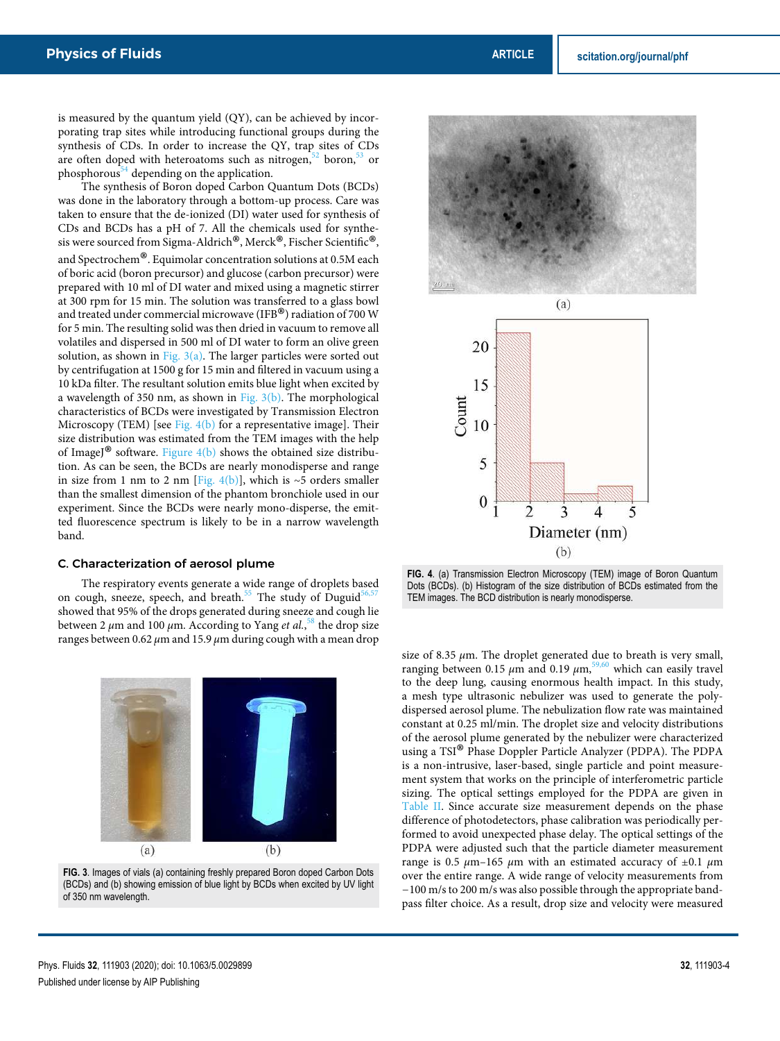is measured by the quantum yield (QY), can be achieved by incorporating trap sites while introducing functional groups during the synthesis of CDs. In order to increase the QY, trap sites of CDs are often doped with heteroatoms such as nitrogen, $52$  boron, $53$  or phosphorous<sup>54</sup> depending on the application.

The synthesis of Boron doped Carbon Quantum Dots (BCDs) was done in the laboratory through a bottom-up process. Care was taken to ensure that the de-ionized (DI) water used for synthesis of CDs and BCDs has a pH of 7. All the chemicals used for synthesis were sourced from Sigma-Aldrich<sup>®</sup>, Merck®, Fischer Scientific<sup>®</sup>, and Spectrochem® . Equimolar concentration solutions at 0.5M each of boric acid (boron precursor) and glucose (carbon precursor) were prepared with 10 ml of DI water and mixed using a magnetic stirrer at 300 rpm for 15 min. The solution was transferred to a glass bowl and treated under commercial microwave (IFB®) radiation of 700 W<br>for 5 min. The resulting solid was then dried in vacuum to remove all for 5 min. The resulting solid was then dried in vacuum to remove all volatiles and dispersed in 500 ml of DI water to form an olive green solution, as shown in Fig.  $3(a)$ . The larger particles were sorted out by centrifugation at 1500 g for 15 min and filtered in vacuum using a 10 kDa filter. The resultant solution emits blue light when excited by a wavelength of 350 nm, as shown in Fig.  $3(b)$ . The morphological characteristics of BCDs were investigated by Transmission Electron Microscopy (TEM) [see Fig. 4(b) for a representative image]. Their size distribution was estimated from the TEM images with the help of ImageJ<sup>®</sup> software. Figure  $4(b)$  shows the obtained size distribu-<br>tion. As can be seen, the BCDs are nearly monodisperse and range tion. As can be seen, the BCDs are nearly monodisperse and range in size from 1 nm to 2 nm [Fig. 4(b)], which is ∼5 orders smaller than the smallest dimension of the phantom bronchiole used in our experiment. Since the BCDs were nearly mono-disperse, the emitted fluorescence spectrum is likely to be in a narrow wavelength band.

#### C. Characterization of aerosol plume

The respiratory events generate a wide range of droplets based on cough, sneeze, speech, and breath.<sup>55</sup> The study of Duguid<sup>5</sup> showed that 95% of the drops generated during sneeze and cough lie between 2 μm and 100 μm. According to Yang et al.,<sup>58</sup> the drop size ranges between 0.62 *μ*m and 15.9 *μ*m during cough with a mean drop



**FIG. 3**. Images of vials (a) containing freshly prepared Boron doped Carbon Dots (BCDs) and (b) showing emission of blue light by BCDs when excited by UV light of 350 nm wavelength.





**FIG. 4**. (a) Transmission Electron Microscopy (TEM) image of Boron Quantum Dots (BCDs). (b) Histogram of the size distribution of BCDs estimated from the TEM images. The BCD distribution is nearly monodisperse.

size of 8.35  $\mu$ m. The droplet generated due to breath is very small, ranging between 0.15  $μ$ m and 0.19  $μ$ m,<sup>59,60</sup> which can easily travel to the deep lung, causing enormous health impact. In this study, a mesh type ultrasonic nebulizer was used to generate the polydispersed aerosol plume. The nebulization flow rate was maintained constant at 0.25 ml/min. The droplet size and velocity distributions of the aerosol plume generated by the nebulizer were characterized using a TSI® Phase Doppler Particle Analyzer (PDPA). The PDPA is a non-intrusive, laser-based, single particle and point measurement system that works on the principle of interferometric particle sizing. The optical settings employed for the PDPA are given in Table II. Since accurate size measurement depends on the phase difference of photodetectors, phase calibration was periodically performed to avoid unexpected phase delay. The optical settings of the PDPA were adjusted such that the particle diameter measurement range is 0.5 *μ*m–165 *μ*m with an estimated accuracy of ±0.1 *μ*m over the entire range. A wide range of velocity measurements from −100 m/s to 200 m/s was also possible through the appropriate bandpass filter choice. As a result, drop size and velocity were measured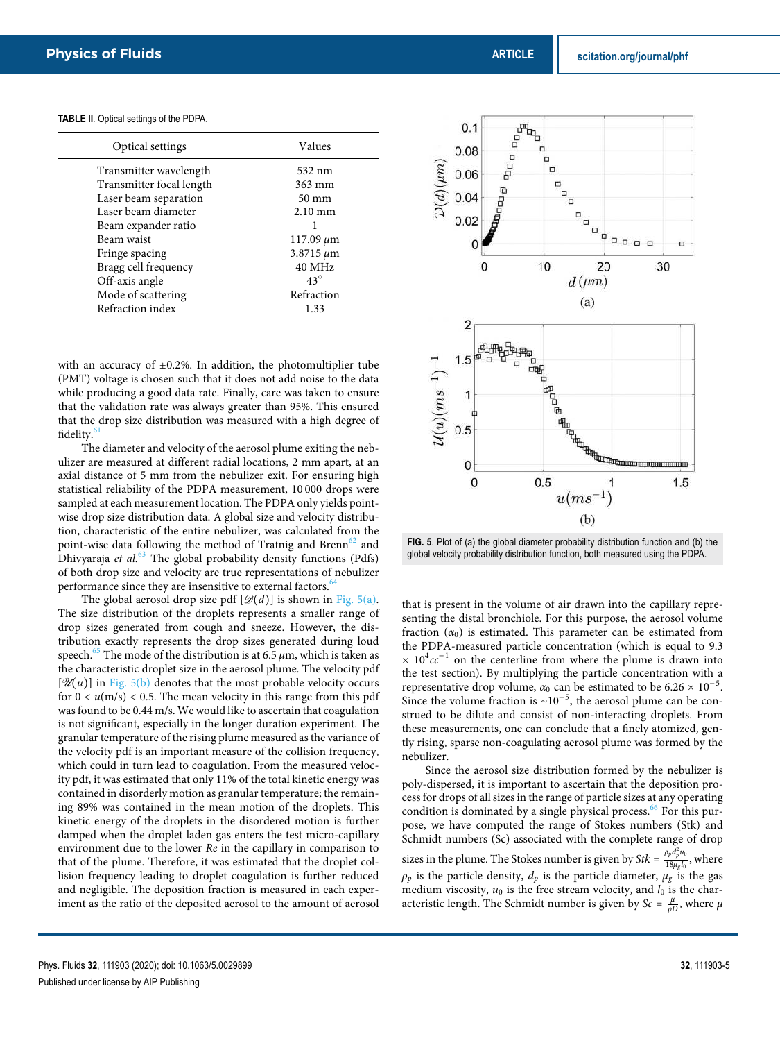| Optical settings         | Values            |
|--------------------------|-------------------|
| Transmitter wavelength   | 532 nm            |
| Transmitter focal length | 363 mm            |
| Laser beam separation    | $50 \text{ mm}$   |
| Laser beam diameter      | $2.10 \text{ mm}$ |
| Beam expander ratio      |                   |
| Beam waist               | $117.09 \,\mu m$  |
| Fringe spacing           | $3.8715 \,\mu m$  |
| Bragg cell frequency     | 40 MHz            |
| Off-axis angle           | $43^\circ$        |
| Mode of scattering       | Refraction        |
| Refraction index         | 1.33              |

**TABLE II**. Optical settings of the PDPA.

with an accuracy of  $\pm 0.2$ %. In addition, the photomultiplier tube (PMT) voltage is chosen such that it does not add noise to the data while producing a good data rate. Finally, care was taken to ensure that the validation rate was always greater than 95%. This ensured that the drop size distribution was measured with a high degree of fidelity.<sup>61</sup>

The diameter and velocity of the aerosol plume exiting the nebulizer are measured at different radial locations, 2 mm apart, at an axial distance of 5 mm from the nebulizer exit. For ensuring high statistical reliability of the PDPA measurement, 10 000 drops were sampled at each measurement location. The PDPA only yields pointwise drop size distribution data. A global size and velocity distribution, characteristic of the entire nebulizer, was calculated from the point-wise data following the method of Tratnig and Brenn<sup>62</sup> and Dhivyaraja et al. $63$  The global probability density functions (Pdfs) of both drop size and velocity are true representations of nebulizer performance since they are insensitive to external factors. $64$ 

The global aerosol drop size pdf  $[\mathcal{D}(d)]$  is shown in Fig. 5(a). The size distribution of the droplets represents a smaller range of drop sizes generated from cough and sneeze. However, the distribution exactly represents the drop sizes generated during loud speech.<sup>65</sup> The mode of the distribution is at 6.5  $\mu$ m, which is taken as the characteristic droplet size in the aerosol plume. The velocity pdf  $[\mathcal{U}(u)]$  in Fig. 5(b) denotes that the most probable velocity occurs for  $0 < u(m/s) < 0.5$ . The mean velocity in this range from this pdf was found to be 0.44 m/s. We would like to ascertain that coagulation is not significant, especially in the longer duration experiment. The granular temperature of the rising plume measured as the variance of the velocity pdf is an important measure of the collision frequency, which could in turn lead to coagulation. From the measured velocity pdf, it was estimated that only 11% of the total kinetic energy was contained in disorderly motion as granular temperature; the remaining 89% was contained in the mean motion of the droplets. This kinetic energy of the droplets in the disordered motion is further damped when the droplet laden gas enters the test micro-capillary environment due to the lower Re in the capillary in comparison to that of the plume. Therefore, it was estimated that the droplet collision frequency leading to droplet coagulation is further reduced and negligible. The deposition fraction is measured in each experiment as the ratio of the deposited aerosol to the amount of aerosol



**FIG. 5**. Plot of (a) the global diameter probability distribution function and (b) the global velocity probability distribution function, both measured using the PDPA.

that is present in the volume of air drawn into the capillary representing the distal bronchiole. For this purpose, the aerosol volume fraction  $(\alpha_0)$  is estimated. This parameter can be estimated from the PDPA-measured particle concentration (which is equal to 9.3  $\times 10^4 c c^{-1}$  on the centerline from where the plume is drawn into the test section). By multiplying the particle concentration with a representative drop volume,  $\alpha_0$  can be estimated to be  $6.26 \times 10^{-5}$ . Since the volume fraction is ∼10<sup>−</sup><sup>5</sup> , the aerosol plume can be construed to be dilute and consist of non-interacting droplets. From these measurements, one can conclude that a finely atomized, gently rising, sparse non-coagulating aerosol plume was formed by the nebulizer.

Since the aerosol size distribution formed by the nebulizer is poly-dispersed, it is important to ascertain that the deposition process for drops of all sizes in the range of particle sizes at any operating condition is dominated by a single physical process. $66$  For this purpose, we have computed the range of Stokes numbers (Stk) and Schmidt numbers (Sc) associated with the complete range of drop sizes in the plume. The Stokes number is given by St $k = \frac{\rho_p d_p^2 u_0}{18\mu L}$  $\frac{18\mu_g l_0}{18\mu_g l_0}$ , where  $\rho_p$  is the particle density,  $d_p$  is the particle diameter,  $\mu_g$  is the gas medium viscosity,  $u_0$  is the free stream velocity, and  $l_0$  is the characteristic length. The Schmidt number is given by  $Sc = \frac{\mu}{\rho D}$ , where  $\mu$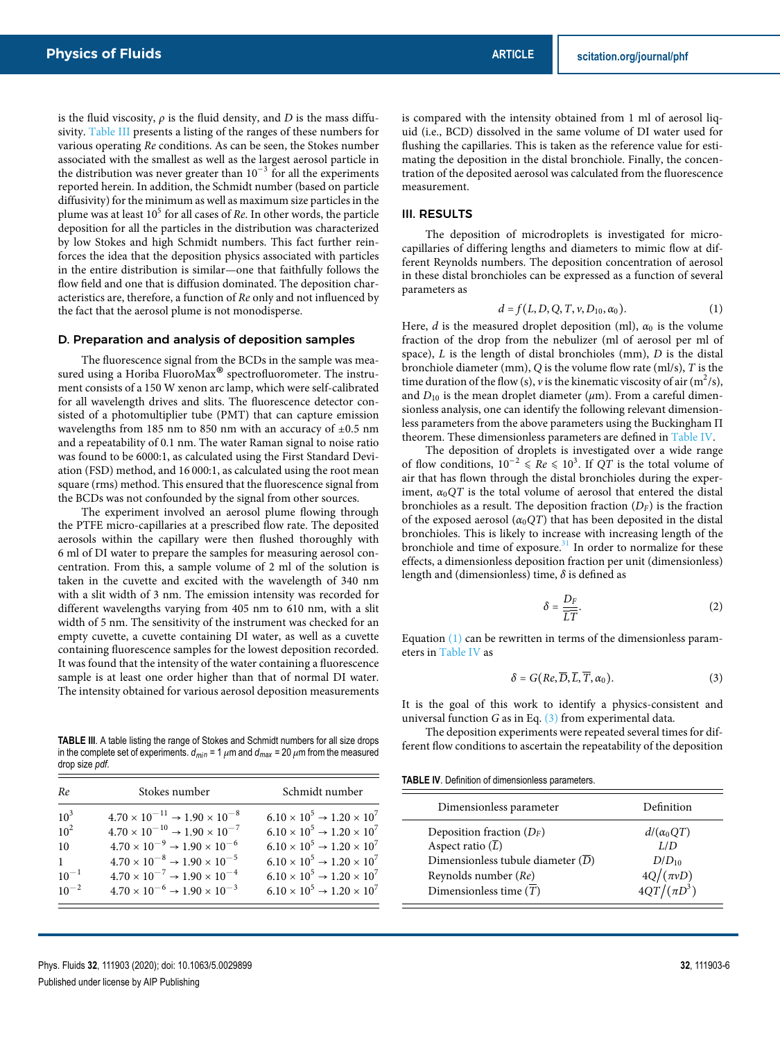is the fluid viscosity,  $\rho$  is the fluid density, and D is the mass diffusivity. Table III presents a listing of the ranges of these numbers for various operating Re conditions. As can be seen, the Stokes number associated with the smallest as well as the largest aerosol particle in the distribution was never greater than  $10^{-3}$  for all the experiments reported herein. In addition, the Schmidt number (based on particle diffusivity) for the minimum as well as maximum size particles in the plume was at least  $10^5$  for all cases of Re. In other words, the particle deposition for all the particles in the distribution was characterized by low Stokes and high Schmidt numbers. This fact further reinforces the idea that the deposition physics associated with particles in the entire distribution is similar—one that faithfully follows the flow field and one that is diffusion dominated. The deposition characteristics are, therefore, a function of Re only and not influenced by the fact that the aerosol plume is not monodisperse.

#### D. Preparation and analysis of deposition samples

The fluorescence signal from the BCDs in the sample was measured using a Horiba FluoroMax<sup>®</sup> spectrofluorometer. The instru-<br>ment consists of a 150 W yenon arc lamp, which were self-calibrated ment consists of a 150 W xenon arc lamp, which were self-calibrated for all wavelength drives and slits. The fluorescence detector consisted of a photomultiplier tube (PMT) that can capture emission wavelengths from 185 nm to 850 nm with an accuracy of  $\pm 0.5$  nm and a repeatability of 0.1 nm. The water Raman signal to noise ratio was found to be 6000:1, as calculated using the First Standard Deviation (FSD) method, and 16 000:1, as calculated using the root mean square (rms) method. This ensured that the fluorescence signal from the BCDs was not confounded by the signal from other sources.

The experiment involved an aerosol plume flowing through the PTFE micro-capillaries at a prescribed flow rate. The deposited aerosols within the capillary were then flushed thoroughly with 6 ml of DI water to prepare the samples for measuring aerosol concentration. From this, a sample volume of 2 ml of the solution is taken in the cuvette and excited with the wavelength of 340 nm with a slit width of 3 nm. The emission intensity was recorded for different wavelengths varying from 405 nm to 610 nm, with a slit width of 5 nm. The sensitivity of the instrument was checked for an empty cuvette, a cuvette containing DI water, as well as a cuvette containing fluorescence samples for the lowest deposition recorded. It was found that the intensity of the water containing a fluorescence sample is at least one order higher than that of normal DI water. The intensity obtained for various aerosol deposition measurements

**TABLE III**. A table listing the range of Stokes and Schmidt numbers for all size drops in the complete set of experiments.  $d_{min} = 1 \mu m$  and  $d_{max} = 20 \mu m$  from the measured drop size *pdf*.

| Re              | Stokes number                                          | Schmidt number                                  |
|-----------------|--------------------------------------------------------|-------------------------------------------------|
| 10 <sup>3</sup> | $4.70 \times 10^{-11} \rightarrow 1.90 \times 10^{-8}$ | $6.10 \times 10^5 \rightarrow 1.20 \times 10^7$ |
| $10^{2}$        | $4.70 \times 10^{-10} \rightarrow 1.90 \times 10^{-7}$ | $6.10 \times 10^5 \rightarrow 1.20 \times 10^7$ |
| 10              | $4.70 \times 10^{-9} \rightarrow 1.90 \times 10^{-6}$  | $6.10 \times 10^5 \rightarrow 1.20 \times 10^7$ |
| $\mathbf{1}$    | $4.70 \times 10^{-8} \rightarrow 1.90 \times 10^{-5}$  | $6.10 \times 10^5 \rightarrow 1.20 \times 10^7$ |
| $10^{-1}$       | $4.70 \times 10^{-7} \rightarrow 1.90 \times 10^{-4}$  | $6.10 \times 10^5 \rightarrow 1.20 \times 10^7$ |
| $10^{-2}$       | $4.70 \times 10^{-6} \rightarrow 1.90 \times 10^{-3}$  | $6.10 \times 10^5 \rightarrow 1.20 \times 10^7$ |

is compared with the intensity obtained from 1 ml of aerosol liquid (i.e., BCD) dissolved in the same volume of DI water used for flushing the capillaries. This is taken as the reference value for estimating the deposition in the distal bronchiole. Finally, the concentration of the deposited aerosol was calculated from the fluorescence measurement.

#### III. RESULTS

The deposition of microdroplets is investigated for microcapillaries of differing lengths and diameters to mimic flow at different Reynolds numbers. The deposition concentration of aerosol in these distal bronchioles can be expressed as a function of several parameters as

$$
d = f(L, D, Q, T, \nu, D_{10}, \alpha_0).
$$
 (1)

Here,  $d$  is the measured droplet deposition (ml),  $\alpha_0$  is the volume fraction of the drop from the nebulizer (ml of aerosol per ml of space),  $L$  is the length of distal bronchioles (mm),  $D$  is the distal bronchiole diameter (mm), Q is the volume flow rate (ml/s), T is the time duration of the flow (s),  $\nu$  is the kinematic viscosity of air (m<sup>2</sup>/s), and  $D_{10}$  is the mean droplet diameter ( $\mu$ m). From a careful dimensionless analysis, one can identify the following relevant dimensionless parameters from the above parameters using the Buckingham Π theorem. These dimensionless parameters are defined in Table IV.

The deposition of droplets is investigated over a wide range of flow conditions,  $10^{-2} \leq Re \leq 10^{3}$ . If QT is the total volume of air that has flown through the distal bronchioles during the experiment,  $\alpha_0QT$  is the total volume of aerosol that entered the distal bronchioles as a result. The deposition fraction  $(D_F)$  is the fraction of the exposed aerosol  $(\alpha_0QT)$  that has been deposited in the distal bronchioles. This is likely to increase with increasing length of the bronchiole and time of exposure. $31$  In order to normalize for these effects, a dimensionless deposition fraction per unit (dimensionless) length and (dimensionless) time, *δ* is defined as

$$
\delta = \frac{D_F}{\overline{LT}}.\tag{2}
$$

Equation (1) can be rewritten in terms of the dimensionless parameters in Table IV as

$$
\delta = G(Re, \overline{D}, \overline{L}, \overline{T}, \alpha_0). \tag{3}
$$

It is the goal of this work to identify a physics-consistent and universal function  $G$  as in Eq.  $(3)$  from experimental data.

The deposition experiments were repeated several times for different flow conditions to ascertain the repeatability of the deposition

**TABLE IV**. Definition of dimensionless parameters.

| Dimensionless parameter                                                                                                     | Definition                             |
|-----------------------------------------------------------------------------------------------------------------------------|----------------------------------------|
| Deposition fraction $(D_F)$<br>Aspect ratio $(\overline{L})$<br>Dimensionless tubule diameter $(D)$<br>Reynolds number (Re) | $d/(\alpha_0 OT)$<br>L/D<br>$D/D_{10}$ |
| Dimensionless time $(T)$                                                                                                    | $4Q/(\pi vD)$<br>$4QT/(\pi D^3)$       |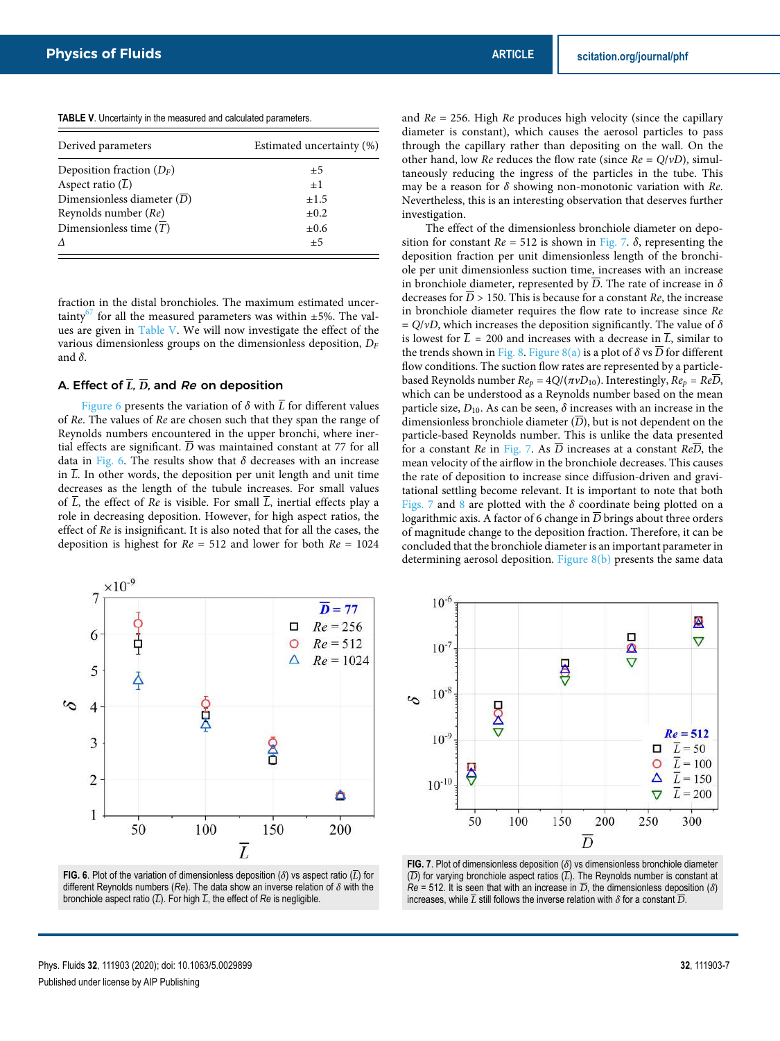**TABLE V**. Uncertainty in the measured and calculated parameters.

| Derived parameters                  | Estimated uncertainty (%) |
|-------------------------------------|---------------------------|
| Deposition fraction $(D_F)$         | $\pm 5$                   |
| Aspect ratio $(\overline{L})$       | $+1$                      |
| Dimensionless diameter $(D)$        | ±1.5                      |
| Reynolds number (Re)                | $\pm 0.2$                 |
| Dimensionless time $(\overline{T})$ | $\pm 0.6$                 |
|                                     | $\pm 5$                   |

fraction in the distal bronchioles. The maximum estimated uncertainty<sup>67</sup> for all the measured parameters was within  $\pm$ 5%. The values are given in Table V. We will now investigate the effect of the various dimensionless groups on the dimensionless deposition,  $D_F$ and *δ*.

# A. Effect of **L**, **D**, and Re on deposition

Figure 6 presents the variation of  $\delta$  with  $\overline{L}$  for different values of Re. The values of Re are chosen such that they span the range of Reynolds numbers encountered in the upper bronchi, where inertial effects are significant.  $\overline{D}$  was maintained constant at 77 for all data in Fig. 6. The results show that *δ* decreases with an increase in  $\overline{L}$ . In other words, the deposition per unit length and unit time decreases as the length of the tubule increases. For small values of  $\overline{L}$ , the effect of Re is visible. For small  $\overline{L}$ , inertial effects play a role in decreasing deposition. However, for high aspect ratios, the effect of Re is insignificant. It is also noted that for all the cases, the deposition is highest for  $Re = 512$  and lower for both  $Re = 1024$ 



**FIG. 6**. Plot of the variation of dimensionless deposition ( $\delta$ ) vs aspect ratio ( $\overline{L}$ ) for different Reynolds numbers (*Re*). The data show an inverse relation of *δ* with the bronchiole aspect ratio  $(\overline{L})$ . For high  $\overline{L}$ , the effect of *Re* is negligible.

and  $Re = 256$ . High  $Re$  produces high velocity (since the capillary diameter is constant), which causes the aerosol particles to pass through the capillary rather than depositing on the wall. On the other hand, low Re reduces the flow rate (since Re = Q/*ν*D), simultaneously reducing the ingress of the particles in the tube. This may be a reason for *δ* showing non-monotonic variation with Re. Nevertheless, this is an interesting observation that deserves further investigation.

The effect of the dimensionless bronchiole diameter on deposition for constant  $Re = 512$  is shown in Fig. 7.  $\delta$ , representing the deposition fraction per unit dimensionless length of the bronchiole per unit dimensionless suction time, increases with an increase in bronchiole diameter, represented by  $\overline{D}$ . The rate of increase in  $\delta$ decreases for  $\overline{D}$  > 150. This is because for a constant Re, the increase in bronchiole diameter requires the flow rate to increase since Re = Q/*ν*D, which increases the deposition significantly. The value of *δ* is lowest for  $\overline{L}$  = 200 and increases with a decrease in  $\overline{L}$ , similar to the trends shown in Fig. 8. Figure 8(a) is a plot of  $\delta$  vs  $\overline{D}$  for different flow conditions. The suction flow rates are represented by a particlebased Reynolds number  $Re_p = 4Q/(\pi v D_{10})$ . Interestingly,  $Re_p = Re\overline{D}$ , which can be understood as a Reynolds number based on the mean particle size,  $D_{10}$ . As can be seen,  $\delta$  increases with an increase in the dimensionless bronchiole diameter  $(\overline{D})$ , but is not dependent on the particle-based Reynolds number. This is unlike the data presented for a constant Re in Fig. 7. As  $\overline{D}$  increases at a constant Re $\overline{D}$ , the mean velocity of the airflow in the bronchiole decreases. This causes the rate of deposition to increase since diffusion-driven and gravitational settling become relevant. It is important to note that both Figs. 7 and 8 are plotted with the *δ* coordinate being plotted on a logarithmic axis. A factor of 6 change in  $\overline{D}$  brings about three orders of magnitude change to the deposition fraction. Therefore, it can be concluded that the bronchiole diameter is an important parameter in determining aerosol deposition. Figure 8(b) presents the same data



**FIG. 7**. Plot of dimensionless deposition (*δ*) vs dimensionless bronchiole diameter  $(\overline{D})$  for varying bronchiole aspect ratios  $(\overline{L})$ . The Reynolds number is constant at  $Re = 512$ . It is seen that with an increase in  $\overline{D}$ , the dimensionless deposition ( $\delta$ ) increases, while  $\overline{L}$  still follows the inverse relation with  $\delta$  for a constant  $\overline{D}$ .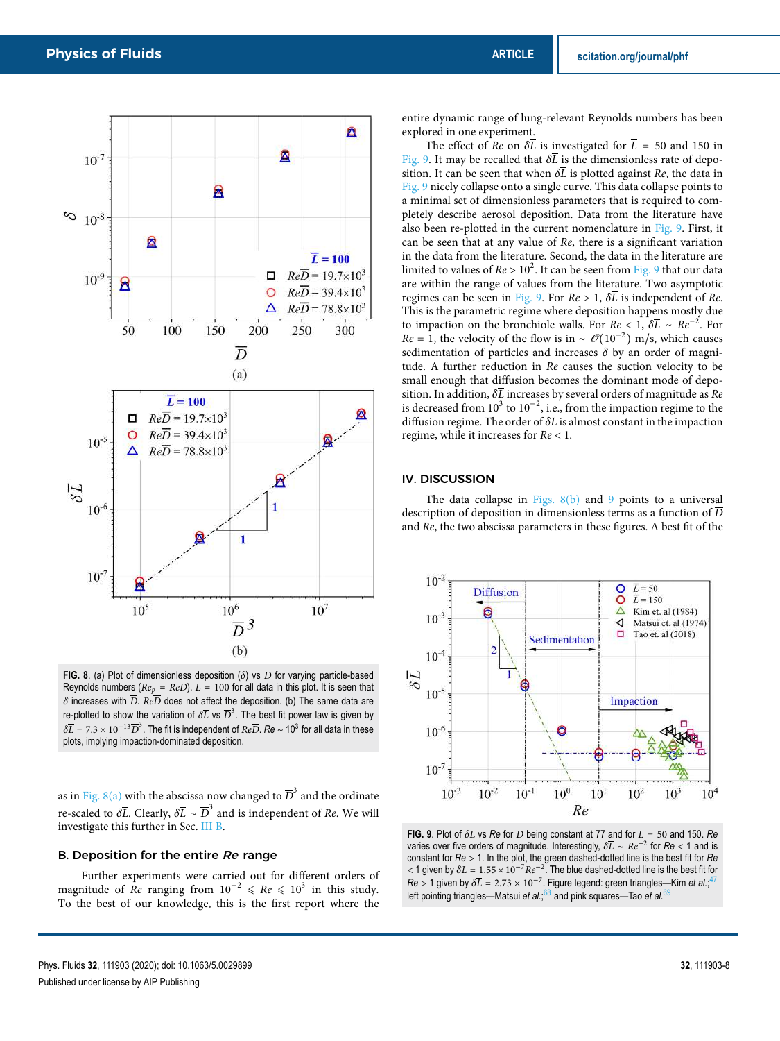

**FIG. 8**. (a) Plot of dimensionless deposition ( $\delta$ ) vs  $\overline{D}$  for varying particle-based Reynolds numbers ( $Re_p = Re\overline{D}$ ).  $\overline{L} = 100$  for all data in this plot. It is seen that  $\delta$  increases with  $\overline{D}$ .  $Re\overline{D}$  does not affect the deposition. (b) The same data are re-plotted to show the variation of  $\delta \overline{L}$  vs  $\overline{D}^3.$  The best fit power law is given by  $\delta \overline{L} = 7.3 \times 10^{-13} \overline{D}^3$ . The fit is independent of  $Re \overline{D}$ . *Re* ∼ 10<sup>3</sup> for all data in these plots, implying impaction-dominated deposition.

as in Fig. 8(a) with the abscissa now changed to  $\overline D^3$  and the ordinate re-scaled to  $\delta \overline{L}$ . Clearly,  $\delta \overline{L} \sim \overline{D}^3$  and is independent of *Re*. We will investigate this further in Sec. III B.

### B. Deposition for the entire Re range

Further experiments were carried out for different orders of magnitude of Re ranging from  $10^{-2} \le Re \le 10^3$  in this study. To the best of our knowledge, this is the first report where the

entire dynamic range of lung-relevant Reynolds numbers has been explored in one experiment.

The effect of Re on  $\delta \overline{L}$  is investigated for  $\overline{L}$  = 50 and 150 in Fig. 9. It may be recalled that  $\delta \overline{L}$  is the dimensionless rate of deposition. It can be seen that when  $\delta \overline{L}$  is plotted against Re, the data in Fig. 9 nicely collapse onto a single curve. This data collapse points to a minimal set of dimensionless parameters that is required to completely describe aerosol deposition. Data from the literature have also been re-plotted in the current nomenclature in Fig. 9. First, it can be seen that at any value of Re, there is a significant variation in the data from the literature. Second, the data in the literature are limited to values of  $Re > 10^2$ . It can be seen from Fig. 9 that our data are within the range of values from the literature. Two asymptotic regimes can be seen in Fig. 9. For  $Re > 1$ ,  $\delta \overline{L}$  is independent of Re. This is the parametric regime where deposition happens mostly due to impaction on the bronchiole walls. For  $Re < 1$ ,  $\delta \overline{L} \sim Re^{-2}$ . For  $Re = 1$ , the velocity of the flow is in ~  $\mathcal{O}(10^{-2})$  m/s, which causes sedimentation of particles and increases *δ* by an order of magnitude. A further reduction in Re causes the suction velocity to be small enough that diffusion becomes the dominant mode of deposition. In addition,  $\delta\overline{L}$  increases by several orders of magnitude as  $Re$ is decreased from  $10^3$  to  $10^{-2}$ , i.e., from the impaction regime to the diffusion regime. The order of *δ*L is almost constant in the impaction regime, while it increases for Re < 1.

#### IV. DISCUSSION

The data collapse in Figs.  $8(b)$  and 9 points to a universal description of deposition in dimensionless terms as a function of  $\overline{D}$ and Re, the two abscissa parameters in these figures. A best fit of the



**FIG. 9**. Plot of  $\delta\overline{L}$  vs  $Re$  for  $\overline{D}$  being constant at 77 and for  $\overline{L} = 50$  and 150.  $Re$ varies over five orders of magnitude. Interestingly, *δ*L ∼ Re−<sup>2</sup> for *Re* < 1 and is constant for *Re* > 1. In the plot, the green dashed-dotted line is the best fit for *Re*  $<$  1 given by  $\delta \bar{L} = 1.55 \times 10^{-7} Re^{-2}$ . The blue dashed-dotted line is the best fit for  $Re > 1$  given by  $\delta \overline{L} = 2.73 \times 10^{-7}$ . Figure legend: green triangles—Kim *et al.*;<sup>47</sup> left pointing triangles—Matsui *et al.*; <sup>68</sup> and pink squares—Tao *et al.*<sup>69</sup>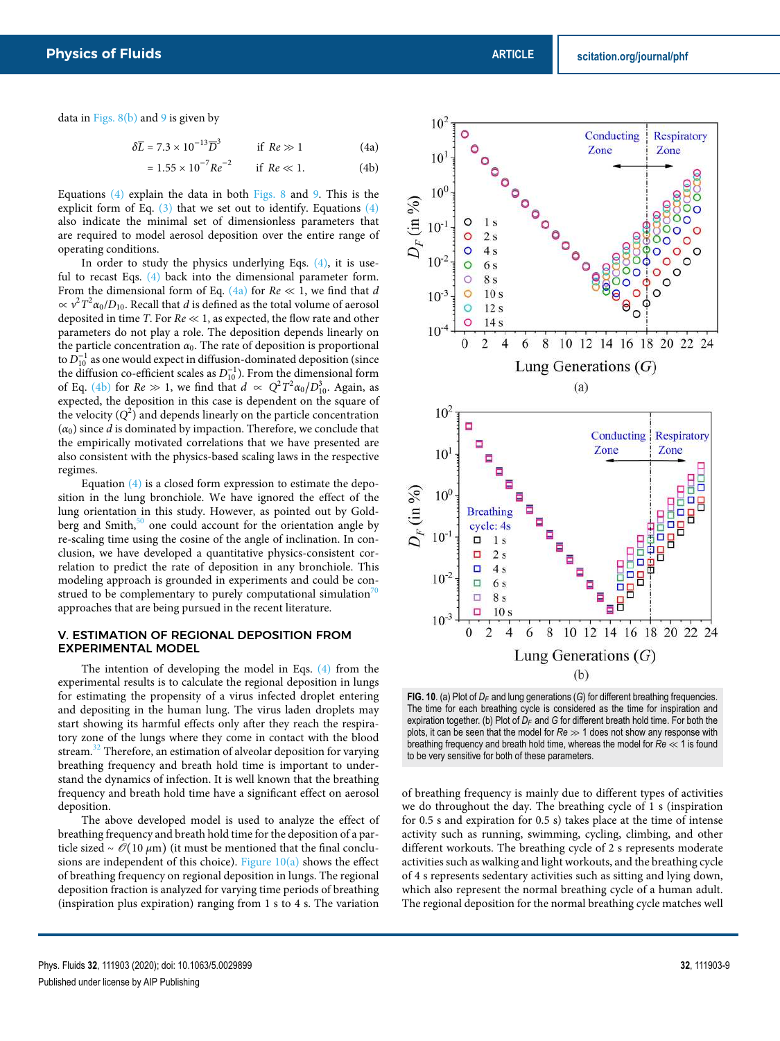data in Figs.  $8(b)$  and 9 is given by

$$
\delta \overline{L} = 7.3 \times 10^{-13} \overline{D}^3 \qquad \text{if } Re \gg 1 \tag{4a}
$$

$$
= 1.55 \times 10^{-7} Re^{-2} \qquad \text{if } Re \ll 1. \tag{4b}
$$

Equations (4) explain the data in both Figs. 8 and 9. This is the explicit form of Eq.  $(3)$  that we set out to identify. Equations  $(4)$ also indicate the minimal set of dimensionless parameters that are required to model aerosol deposition over the entire range of operating conditions.

In order to study the physics underlying Eqs.  $(4)$ , it is useful to recast Eqs. (4) back into the dimensional parameter form. From the dimensional form of Eq. (4a) for  $Re \ll 1$ , we find that d  $\propto v^2 T^2 \alpha_0/D_{10}$ . Recall that *d* is defined as the total volume of aerosol deposited in time T. For  $Re \ll 1$ , as expected, the flow rate and other parameters do not play a role. The deposition depends linearly on the particle concentration  $\alpha_0$ . The rate of deposition is proportional to  $D_{10}^{-1}$  as one would expect in diffusion-dominated deposition (since the diffusion co-efficient scales as  $D_{10}^{-1}$ ). From the dimensional form of Eq. (4b) for  $Re \gg 1$ , we find that  $d \propto Q^2 T^2 \alpha_0/D_{10}^3$ . Again, as expected, the deposition in this case is dependent on the square of the velocity  $(Q^2)$  and depends linearly on the particle concentration  $(\alpha_0)$  since *d* is dominated by impaction. Therefore, we conclude that the empirically motivated correlations that we have presented are also consistent with the physics-based scaling laws in the respective regimes.

Equation (4) is a closed form expression to estimate the deposition in the lung bronchiole. We have ignored the effect of the lung orientation in this study. However, as pointed out by Goldberg and Smith, $50$  one could account for the orientation angle by re-scaling time using the cosine of the angle of inclination. In conclusion, we have developed a quantitative physics-consistent correlation to predict the rate of deposition in any bronchiole. This modeling approach is grounded in experiments and could be construed to be complementary to purely computational simulation<sup>7</sup> approaches that are being pursued in the recent literature.

#### V. ESTIMATION OF REGIONAL DEPOSITION FROM EXPERIMENTAL MODEL

The intention of developing the model in Eqs. (4) from the experimental results is to calculate the regional deposition in lungs for estimating the propensity of a virus infected droplet entering and depositing in the human lung. The virus laden droplets may start showing its harmful effects only after they reach the respiratory zone of the lungs where they come in contact with the blood stream.<sup>32</sup> Therefore, an estimation of alveolar deposition for varying breathing frequency and breath hold time is important to understand the dynamics of infection. It is well known that the breathing frequency and breath hold time have a significant effect on aerosol deposition.

The above developed model is used to analyze the effect of breathing frequency and breath hold time for the deposition of a particle sized ~ *O*(10 *μ*m) (it must be mentioned that the final conclusions are independent of this choice). Figure 10(a) shows the effect of breathing frequency on regional deposition in lungs. The regional deposition fraction is analyzed for varying time periods of breathing (inspiration plus expiration) ranging from 1 s to 4 s. The variation



**FIG. 10**. (a) Plot of *D<sup>F</sup>* and lung generations (*G*) for different breathing frequencies. The time for each breathing cycle is considered as the time for inspiration and expiration together. (b) Plot of *D<sup>F</sup>* and *G* for different breath hold time. For both the plots, it can be seen that the model for *Re* ≫ 1 does not show any response with breathing frequency and breath hold time, whereas the model for *Re* ≪ 1 is found to be very sensitive for both of these parameters.

of breathing frequency is mainly due to different types of activities we do throughout the day. The breathing cycle of 1 s (inspiration for 0.5 s and expiration for 0.5 s) takes place at the time of intense activity such as running, swimming, cycling, climbing, and other different workouts. The breathing cycle of 2 s represents moderate activities such as walking and light workouts, and the breathing cycle of 4 s represents sedentary activities such as sitting and lying down, which also represent the normal breathing cycle of a human adult. The regional deposition for the normal breathing cycle matches well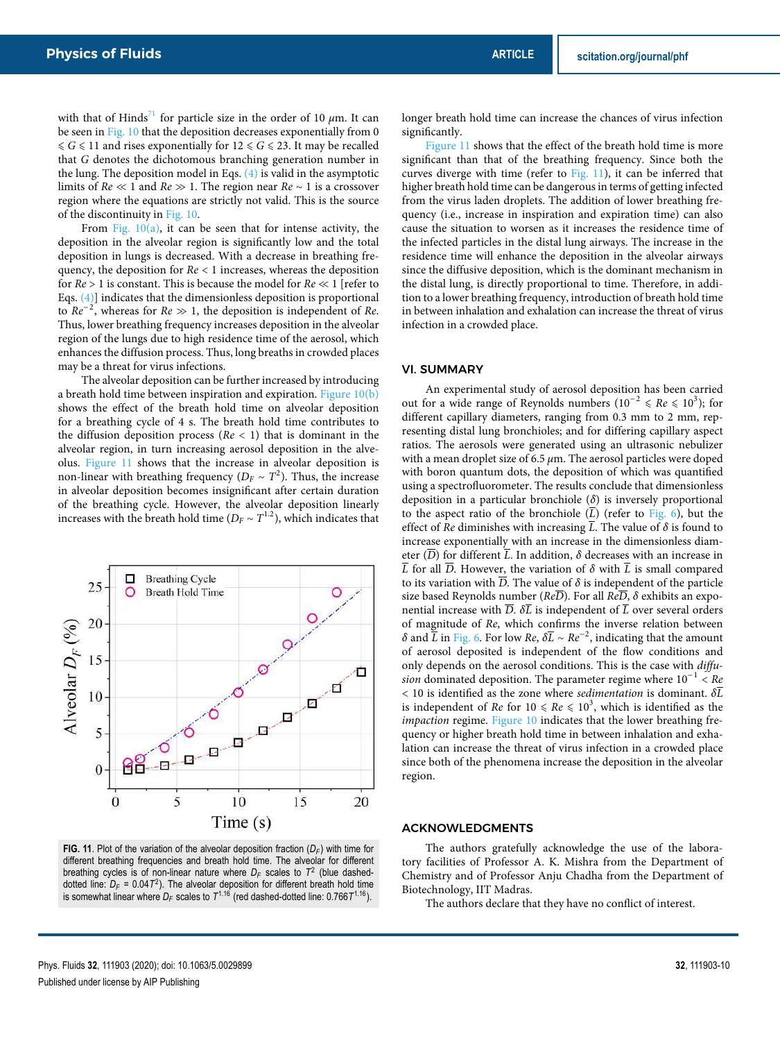with that of Hinds<sup>71</sup> for particle size in the order of 10  $\mu$ m. It can be seen in Fig. 10 that the deposition decreases exponentially from 0  $\leqslant G \leqslant 11$  and rises exponentially for  $12 \leqslant G \leqslant 23.$  It may be recalled that G denotes the dichotomous branching generation number in the lung. The deposition model in Eqs.  $(4)$  is valid in the asymptotic limits of  $Re \ll 1$  and  $Re \gg 1$ . The region near  $Re \sim 1$  is a crossover region where the equations are strictly not valid. This is the source of the discontinuity in Fig. 10.

From Fig.  $10(a)$ , it can be seen that for intense activity, the deposition in the alveolar region is significantly low and the total deposition in lungs is decreased. With a decrease in breathing frequency, the deposition for  $Re < 1$  increases, whereas the deposition for  $Re > 1$  is constant. This is because the model for  $Re \ll 1$  [refer to Eqs. (4)] indicates that the dimensionless deposition is proportional to  $Re^{-2}$ , whereas for  $Re \gg 1$ , the deposition is independent of Re. Thus, lower breathing frequency increases deposition in the alveolar region of the lungs due to high residence time of the aerosol, which enhances the diffusion process. Thus, long breaths in crowded places may be a threat for virus infections.

The alveolar deposition can be further increased by introducing a breath hold time between inspiration and expiration. Figure 10(b) shows the effect of the breath hold time on alveolar deposition for a breathing cycle of 4 s. The breath hold time contributes to the diffusion deposition process ( $Re < 1$ ) that is dominant in the alveolar region, in turn increasing aerosol deposition in the alveolus. Figure 11 shows that the increase in alveolar deposition is non-linear with breathing frequency ( $D_F \sim T^2$ ). Thus, the increase in alveolar deposition becomes insignificant after certain duration of the breathing cycle. However, the alveolar deposition linearly increases with the breath hold time ( $D_F \sim T^{1.2}$ ), which indicates that



**FIG. 11**. Plot of the variation of the alveolar deposition fraction (*D<sup>F</sup>* ) with time for different breathing frequencies and breath hold time. The alveolar for different breathing cycles is of non-linear nature where *D<sup>F</sup>* scales to *T* 2 (blue dasheddotted line:  $D_F = 0.04T^2$ ). The alveolar deposition for different breath hold time is somewhat linear where  $D_F$  scales to  $\mathcal{T}^{1.16}$  (red dashed-dotted line: 0.766 $\mathcal{T}^{1.16}$ ).

longer breath hold time can increase the chances of virus infection significantly.

Figure 11 shows that the effect of the breath hold time is more significant than that of the breathing frequency. Since both the curves diverge with time (refer to Fig. 11), it can be inferred that higher breath hold time can be dangerous in terms of getting infected from the virus laden droplets. The addition of lower breathing frequency (i.e., increase in inspiration and expiration time) can also cause the situation to worsen as it increases the residence time of the infected particles in the distal lung airways. The increase in the residence time will enhance the deposition in the alveolar airways since the diffusive deposition, which is the dominant mechanism in the distal lung, is directly proportional to time. Therefore, in addition to a lower breathing frequency, introduction of breath hold time in between inhalation and exhalation can increase the threat of virus infection in a crowded place.

#### VI. SUMMARY

An experimental study of aerosol deposition has been carried out for a wide range of Reynolds numbers  $(10^{-2} \leq Re \leq 10^{3})$ ; for different capillary diameters, ranging from 0.3 mm to 2 mm, representing distal lung bronchioles; and for differing capillary aspect ratios. The aerosols were generated using an ultrasonic nebulizer with a mean droplet size of 6.5 *μ*m. The aerosol particles were doped with boron quantum dots, the deposition of which was quantified using a spectrofluorometer. The results conclude that dimensionless deposition in a particular bronchiole (*δ*) is inversely proportional to the aspect ratio of the bronchiole  $(\overline{L})$  (refer to Fig. 6), but the effect of *Re* diminishes with increasing  $\overline{L}$ . The value of  $\delta$  is found to increase exponentially with an increase in the dimensionless diameter  $(\overline{D})$  for different  $\overline{L}$ . In addition,  $\delta$  decreases with an increase in  $\overline{L}$  for all  $\overline{D}$ . However, the variation of  $\delta$  with  $\overline{L}$  is small compared to its variation with  $\overline{D}$ . The value of  $\delta$  is independent of the particle size based Reynolds number ( $Re\overline{D}$ ). For all  $Re\overline{D}$ ,  $\delta$  exhibits an exponential increase with  $\overline{D}$ .  $\delta \overline{L}$  is independent of  $\overline{L}$  over several orders of magnitude of Re, which confirms the inverse relation between *δ* and  $\overline{L}$  in Fig. 6. For low *Re*,  $\delta \overline{L}$  ∼ *Re*<sup>-2</sup>, indicating that the amount of aerosol deposited is independent of the flow conditions and only depends on the aerosol conditions. This is the case with diffusion dominated deposition. The parameter regime where  $10^{-1}$  < Re  $<$  10 is identified as the zone where *sedimentation* is dominant.  $\delta \overline{L}$ is independent of  $Re$  for  $10 \leqslant Re \leqslant 10^3,$  which is identified as the impaction regime. Figure 10 indicates that the lower breathing frequency or higher breath hold time in between inhalation and exhalation can increase the threat of virus infection in a crowded place since both of the phenomena increase the deposition in the alveolar region.

#### ACKNOWLEDGMENTS

The authors gratefully acknowledge the use of the laboratory facilities of Professor A. K. Mishra from the Department of Chemistry and of Professor Anju Chadha from the Department of Biotechnology, IIT Madras.

The authors declare that they have no conflict of interest.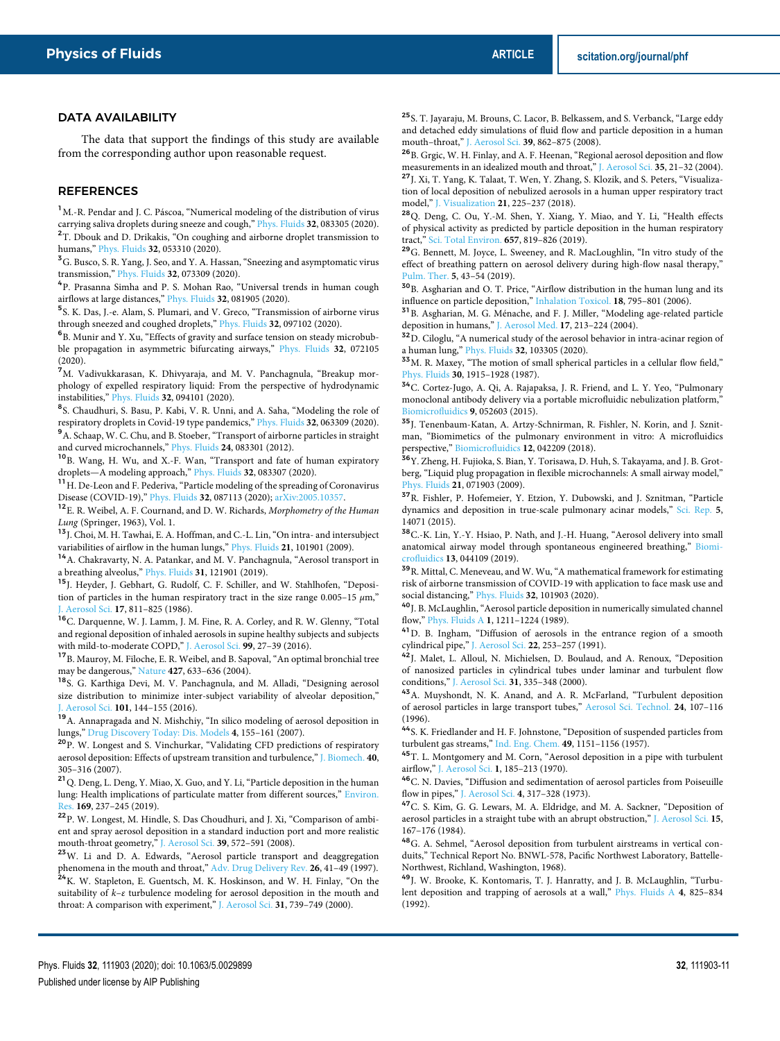#### DATA AVAILABILITY

The data that support the findings of this study are available from the corresponding author upon reasonable request.

#### **REFERENCES**

<sup>1</sup>M.-R. Pendar and J. C. Páscoa, "Numerical modeling of the distribution of virus carrying saliva droplets during sneeze and cough," Phys. Fluids **32**, 083305 (2020). <sup>2</sup>T. Dbouk and D. Drikakis, "On coughing and airborne droplet transmission to humans," Phys. Fluids **32**, 053310 (2020).

 ${\bf ^3G}.$  Busco, S. R. Yang, J. Seo, and Y. A. Hassan, "Sneezing and asymptomatic virus transmission," Phys. Fluids **32**, 073309 (2020).

4 P. Prasanna Simha and P. S. Mohan Rao, "Universal trends in human cough airflows at large distances," Phys. Fluids **32**, 081905 (2020).

5 S. K. Das, J.-e. Alam, S. Plumari, and V. Greco, "Transmission of airborne virus through sneezed and coughed droplets," Phys. Fluids **32**, 097102 (2020).

6 B. Munir and Y. Xu, "Effects of gravity and surface tension on steady microbubble propagation in asymmetric bifurcating airways," Phys. Fluids **32**, 072105 (2020).

<sup>7</sup>M. Vadivukkarasan, K. Dhivyaraja, and M. V. Panchagnula, "Breakup morphology of expelled respiratory liquid: From the perspective of hydrodynamic instabilities," Phys. Fluids **32**, 094101 (2020).

<sup>8</sup>S. Chaudhuri, S. Basu, P. Kabi, V. R. Unni, and A. Saha, "Modeling the role of respiratory droplets in Covid-19 type pandemics," Phys. Fluids **32**, 063309 (2020). <sup>9</sup>A. Schaap, W. C. Chu, and B. Stoeber, "Transport of airborne particles in straight and curved microchannels," Phys. Fluids **24**, 083301 (2012).

<sup>10</sup>B. Wang, H. Wu, and X.-F. Wan, "Transport and fate of human expiratory droplets—A modeling approach," Phys. Fluids **32**, 083307 (2020).

<sup>11</sup> H. De-Leon and F. Pederiva, "Particle modeling of the spreading of Coronavirus Disease (COVID-19)," Phys. Fluids **32**, 087113 (2020); arXiv:2005.10357.

<sup>12</sup> E. R. Weibel, A. F. Cournand, and D. W. Richards, Morphometry of the Human Lung (Springer, 1963), Vol. 1.

<sup>13</sup> J. Choi, M. H. Tawhai, E. A. Hoffman, and C.-L. Lin, "On intra- and intersubject variabilities of airflow in the human lungs," Phys. Fluids **21**, 101901 (2009).

 $^{14}{\rm A}.$  Chakravarty, N. A. Patankar, and M. V. Panchagnula, "Aerosol transport in a breathing alveolus," Phys. Fluids **31**, 121901 (2019).

<sup>15</sup>J. Heyder, J. Gebhart, G. Rudolf, C. F. Schiller, and W. Stahlhofen, "Deposition of particles in the human respiratory tract in the size range 0.005–15 *μ*m," J. Aerosol Sci. **17**, 811–825 (1986).

<sup>16</sup>C. Darquenne, W. J. Lamm, J. M. Fine, R. A. Corley, and R. W. Glenny, "Total and regional deposition of inhaled aerosols in supine healthy subjects and subjects with mild-to-moderate COPD," J. Aerosol Sci. **99**, 27–39 (2016).

 $^{17}{\rm B}.$  Mauroy, M. Filoche, E. R. Weibel, and B. Sapoval, "An optimal bronchial tree may be dangerous," Nature **427**, 633–636 (2004).

<sup>18</sup>S. G. Karthiga Devi, M. V. Panchagnula, and M. Alladi, "Designing aerosol size distribution to minimize inter-subject variability of alveolar deposition," J. Aerosol Sci. **101**, 144–155 (2016).

<sup>19</sup>A. Annapragada and N. Mishchiy, "In silico modeling of aerosol deposition in lungs," Drug Discovery Today: Dis. Models **4**, 155–161 (2007).

<sup>20</sup>P. W. Longest and S. Vinchurkar, "Validating CFD predictions of respiratory aerosol deposition: Effects of upstream transition and turbulence," J. Biomech. **40**, 305–316 (2007).

 $\mathsf{^{21}Q}$  Deng, L. Deng, Y. Miao, X. Guo, and Y. Li, "Particle deposition in the human lung: Health implications of particulate matter from different sources," Environ. Res. **169**, 237–245 (2019).

<sup>22</sup>P. W. Longest, M. Hindle, S. Das Choudhuri, and J. Xi, "Comparison of ambient and spray aerosol deposition in a standard induction port and more realistic mouth-throat geometry," J. Aerosol Sci. **39**, 572–591 (2008).

<sup>23</sup>W. Li and D. A. Edwards, "Aerosol particle transport and deaggregation phenomena in the mouth and throat," Adv. Drug Delivery Rev. **26**, 41–49 (1997). <sup>24</sup> K. W. Stapleton, E. Guentsch, M. K. Hoskinson, and W. H. Finlay, "On the suitability of k–*ε* turbulence modeling for aerosol deposition in the mouth and throat: A comparison with experiment," J. Aerosol Sci. **31**, 739–749 (2000).

<sup>25</sup> S. T. Jayaraju, M. Brouns, C. Lacor, B. Belkassem, and S. Verbanck, "Large eddy and detached eddy simulations of fluid flow and particle deposition in a human mouth–throat," J. Aerosol Sci. **39**, 862–875 (2008).

<sup>26</sup>B. Grgic, W. H. Finlay, and A. F. Heenan, "Regional aerosol deposition and flow measurements in an idealized mouth and throat," J. Aerosol Sci. **35**, 21–32 (2004). <sup>27</sup>J. Xi, T. Yang, K. Talaat, T. Wen, Y. Zhang, S. Klozik, and S. Peters, "Visualization of local deposition of nebulized aerosols in a human upper respiratory tract model," J. Visualization **21**, 225–237 (2018).

<sup>28</sup>Q. Deng, C. Ou, Y.-M. Shen, Y. Xiang, Y. Miao, and Y. Li, "Health effects of physical activity as predicted by particle deposition in the human respiratory tract," Sci. Total Environ. **657**, 819–826 (2019).

<sup>29</sup>G. Bennett, M. Joyce, L. Sweeney, and R. MacLoughlin, "In vitro study of the effect of breathing pattern on aerosol delivery during high-flow nasal therapy," Pulm. Ther. **5**, 43–54 (2019).

<sup>30</sup>B. Asgharian and O. T. Price, "Airflow distribution in the human lung and its influence on particle deposition," Inhalation Toxicol. **18**, 795–801 (2006).

<sup>31</sup>B. Asgharian, M. G. Ménache, and F. J. Miller, "Modeling age-related particle deposition in humans," J. Aerosol Med. **17**, 213–224 (2004).

 $32D$ . Ciloglu, "A numerical study of the aerosol behavior in intra-acinar region of a human lung," Phys. Fluids **32**, 103305 (2020).

<sup>33</sup>M. R. Maxey, "The motion of small spherical particles in a cellular flow field," Phys. Fluids **30**, 1915–1928 (1987).

<sup>34</sup>C. Cortez-Jugo, A. Qi, A. Rajapaksa, J. R. Friend, and L. Y. Yeo, "Pulmonary monoclonal antibody delivery via a portable microfluidic nebulization platform, Biomicrofluidics **9**, 052603 (2015).

<sup>35</sup>J. Tenenbaum-Katan, A. Artzy-Schnirman, R. Fishler, N. Korin, and J. Sznitman, "Biomimetics of the pulmonary environment in vitro: A microfluidics perspective," Biomicrofluidics **12**, 042209 (2018).

<sup>36</sup>Y. Zheng, H. Fujioka, S. Bian, Y. Torisawa, D. Huh, S. Takayama, and J. B. Grotberg, "Liquid plug propagation in flexible microchannels: A small airway model," Phys. Fluids **21**, 071903 (2009).

<sup>37</sup>R. Fishler, P. Hofemeier, Y. Etzion, Y. Dubowski, and J. Sznitman, "Particle dynamics and deposition in true-scale pulmonary acinar models," Sci. Rep. **5**, 14071 (2015).

<sup>38</sup>C.-K. Lin, Y.-Y. Hsiao, P. Nath, and J.-H. Huang, "Aerosol delivery into small anatomical airway model through spontaneous engineered breathing," Biomicrofluidics **13**, 044109 (2019).

 $^{\bf 39}$  R. Mittal, C. Meneveau, and W. Wu, "A mathematical framework for estimating risk of airborne transmission of COVID-19 with application to face mask use and social distancing," Phys. Fluids **32**, 101903 (2020).

 $^{\mathbf{40}}$  J. B. McLaughlin, "Aerosol particle deposition in numerically simulated channel flow," Phys. Fluids A **1**, 1211–1224 (1989).

<sup>41</sup>D. B. Ingham, "Diffusion of aerosols in the entrance region of a smooth cylindrical pipe," J. Aerosol Sci. **22**, 253–257 (1991).

42J. Malet, L. Alloul, N. Michielsen, D. Boulaud, and A. Renoux, "Deposition of nanosized particles in cylindrical tubes under laminar and turbulent flow conditions," J. Aerosol Sci. **31**, 335–348 (2000).

<sup>43</sup>A. Muyshondt, N. K. Anand, and A. R. McFarland, "Turbulent deposition of aerosol particles in large transport tubes," Aerosol Sci. Technol. **24**, 107–116 (1996).

<sup>44</sup>S. K. Friedlander and H. F. Johnstone, "Deposition of suspended particles from turbulent gas streams," Ind. Eng. Chem. **49**, 1151–1156 (1957).

<sup>45</sup>T. L. Montgomery and M. Corn, "Aerosol deposition in a pipe with turbulent airflow," J. Aerosol Sci. **1**, 185–213 (1970).

<sup>46</sup>C. N. Davies, "Diffusion and sedimentation of aerosol particles from Poiseuille flow in pipes," J. Aerosol Sci. **4**, 317–328 (1973).

<sup>47</sup>C. S. Kim, G. G. Lewars, M. A. Eldridge, and M. A. Sackner, "Deposition of aerosol particles in a straight tube with an abrupt obstruction," J. Aerosol Sci. **15**, 167–176 (1984).

<sup>48</sup>G. A. Sehmel, "Aerosol deposition from turbulent airstreams in vertical conduits," Technical Report No. BNWL-578, Pacific Northwest Laboratory, Battelle-Northwest, Richland, Washington, 1968).

<sup>49</sup>J. W. Brooke, K. Kontomaris, T. J. Hanratty, and J. B. McLaughlin, "Turbulent deposition and trapping of aerosols at a wall," Phys. Fluids A **4**, 825–834 (1992).